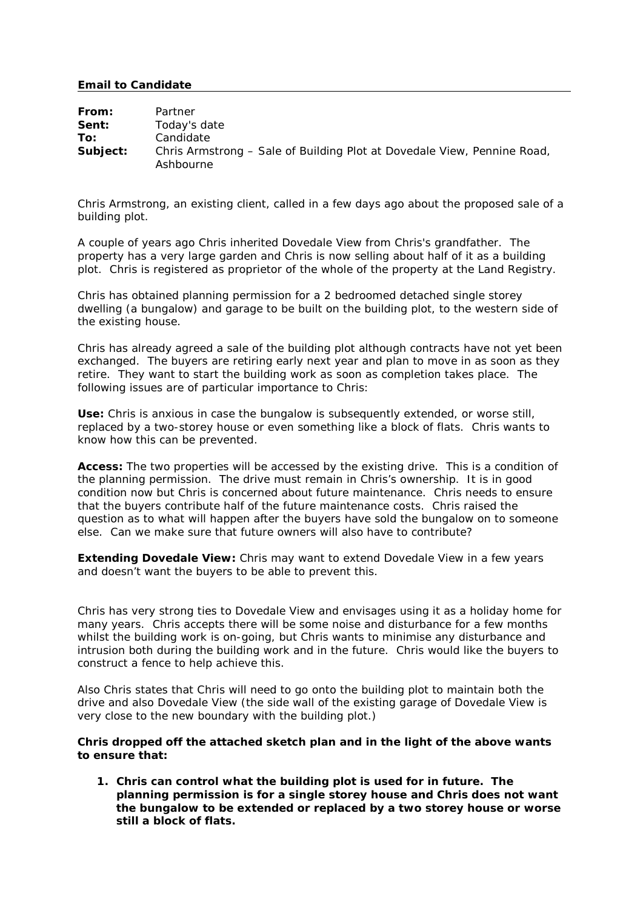## **Email to Candidate**

| From:    | Partner                                                                              |
|----------|--------------------------------------------------------------------------------------|
| Sent:    | Today's date                                                                         |
| To:      | Candidate                                                                            |
| Subject: | Chris Armstrong – Sale of Building Plot at Dovedale View, Pennine Road,<br>Ashbourne |

Chris Armstrong, an existing client, called in a few days ago about the proposed sale of a building plot.

A couple of years ago Chris inherited Dovedale View from Chris's grandfather. The property has a very large garden and Chris is now selling about half of it as a building plot. Chris is registered as proprietor of the whole of the property at the Land Registry.

Chris has obtained planning permission for a 2 bedroomed detached single storey dwelling (a bungalow) and garage to be built on the building plot, to the western side of the existing house.

Chris has already agreed a sale of the building plot although contracts have not yet been exchanged. The buyers are retiring early next year and plan to move in as soon as they retire. They want to start the building work as soon as completion takes place. The following issues are of particular importance to Chris:

**Use:** Chris is anxious in case the bungalow is subsequently extended, or worse still, replaced by a two-storey house or even something like a block of flats. Chris wants to know how this can be prevented.

**Access:** The two properties will be accessed by the existing drive. This is a condition of the planning permission. The drive must remain in Chris's ownership. It is in good condition now but Chris is concerned about future maintenance. Chris needs to ensure that the buyers contribute half of the future maintenance costs. Chris raised the question as to what will happen after the buyers have sold the bungalow on to someone else. Can we make sure that future owners will also have to contribute?

**Extending Dovedale View:** Chris may want to extend Dovedale View in a few years and doesn't want the buyers to be able to prevent this.

Chris has very strong ties to Dovedale View and envisages using it as a holiday home for many years. Chris accepts there will be some noise and disturbance for a few months whilst the building work is on-going, but Chris wants to minimise any disturbance and intrusion both during the building work and in the future. Chris would like the buyers to construct a fence to help achieve this.

Also Chris states that Chris will need to go onto the building plot to maintain both the drive and also Dovedale View (the side wall of the existing garage of Dovedale View is very close to the new boundary with the building plot.)

**Chris dropped off the attached sketch plan and in the light of the above wants to ensure that:**

**1. Chris can control what the building plot is used for in future. The planning permission is for a single storey house and Chris does not want the bungalow to be extended or replaced by a two storey house or worse still a block of flats.**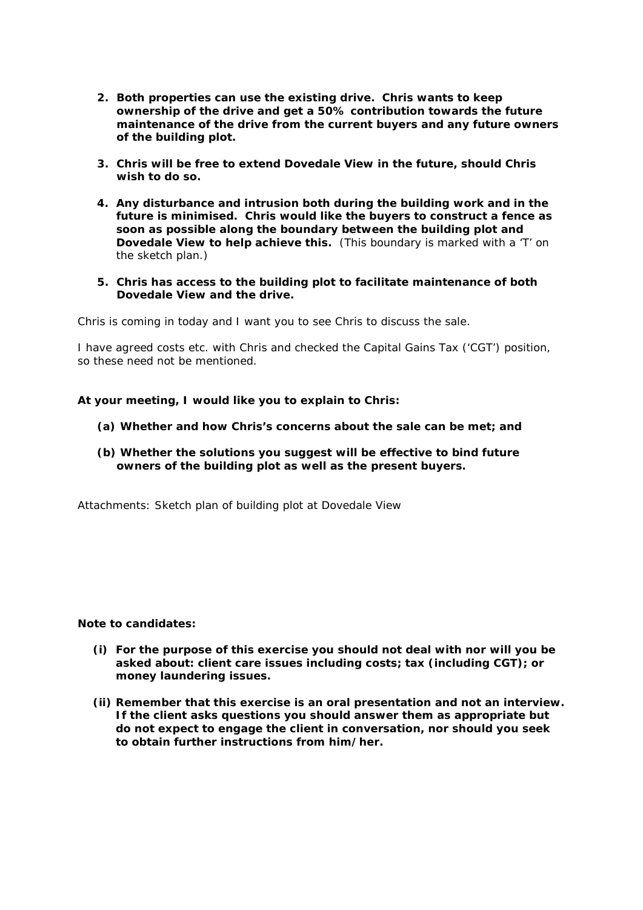- **2. Both properties can use the existing drive. Chris wants to keep ownership of the drive and get a 50% contribution towards the future maintenance of the drive from the current buyers and any future owners of the building plot.**
- **3. Chris will be free to extend Dovedale View in the future, should Chris wish to do so.**
- **4. Any disturbance and intrusion both during the building work and in the future is minimised. Chris would like the buyers to construct a fence as soon as possible along the boundary between the building plot and Dovedale View to help achieve this.** (This boundary is marked with a 'T' on the sketch plan.)
- **5. Chris has access to the building plot to facilitate maintenance of both Dovedale View and the drive.**

Chris is coming in today and I want you to see Chris to discuss the sale.

I have agreed costs etc. with Chris and checked the Capital Gains Tax ('CGT') position, so these need not be mentioned.

**At your meeting, I would like you to explain to Chris:**

- **(a) Whether and how Chris's concerns about the sale can be met; and**
- **(b) Whether the solutions you suggest will be effective to bind future owners of the building plot as well as the present buyers.**

*Attachments: Sketch plan of building plot at Dovedale View*

**Note to candidates:**

- **(i) For the purpose of this exercise you should not deal with nor will you be asked about: client care issues including costs; tax (including CGT); or money laundering issues.**
- **(ii) Remember that this exercise is an oral presentation and not an interview. If the client asks questions you should answer them as appropriate but do not expect to engage the client in conversation, nor should you seek to obtain further instructions from him/her.**